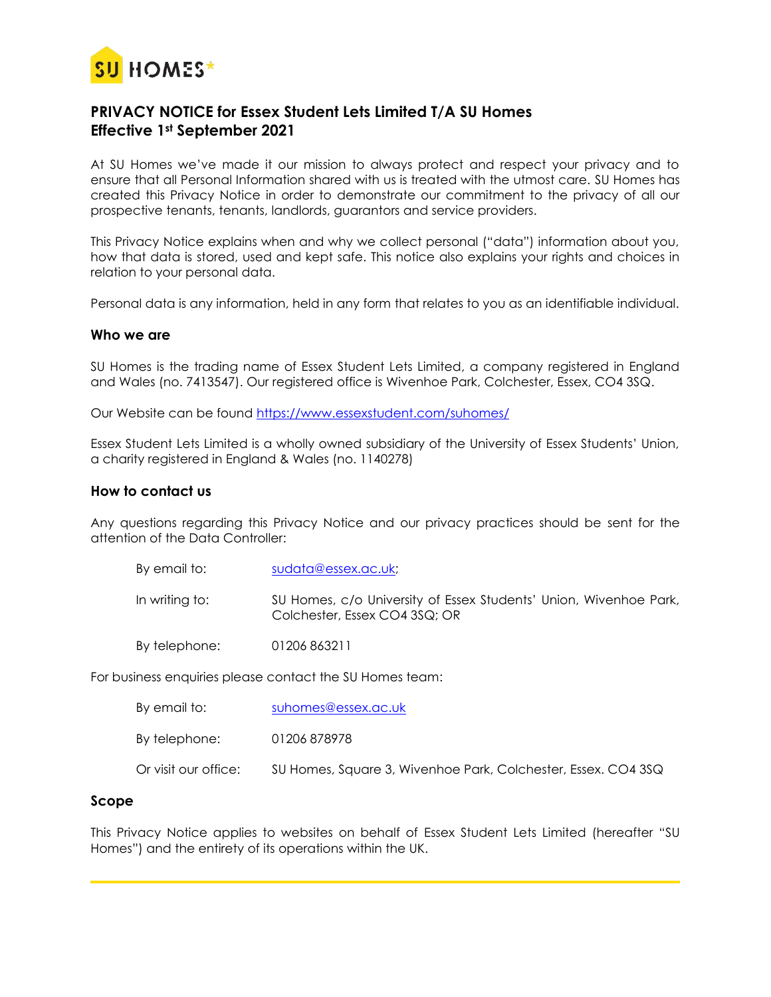

# **PRIVACY NOTICE for Essex Student Lets Limited T/A SU Homes Effective 1st September 2021**

At SU Homes we've made it our mission to always protect and respect your privacy and to ensure that all Personal Information shared with us is treated with the utmost care. SU Homes has created this Privacy Notice in order to demonstrate our commitment to the privacy of all our prospective tenants, tenants, landlords, guarantors and service providers.

This Privacy Notice explains when and why we collect personal ("data") information about you, how that data is stored, used and kept safe. This notice also explains your rights and choices in relation to your personal data.

Personal data is any information, held in any form that relates to you as an identifiable individual.

#### **Who we are**

SU Homes is the trading name of Essex Student Lets Limited, a company registered in England and Wales (no. 7413547). Our registered office is Wivenhoe Park, Colchester, Essex, CO4 3SQ.

Our Website can be found<https://www.essexstudent.com/suhomes/>

Essex Student Lets Limited is a wholly owned subsidiary of the University of Essex Students' Union, a charity registered in England & Wales (no. 1140278)

#### **How to contact us**

Any questions regarding this Privacy Notice and our privacy practices should be sent for the attention of the Data Controller:

| By email to:   | sudata@essex.ac.uk;                                                                                |
|----------------|----------------------------------------------------------------------------------------------------|
| In writing to: | SU Homes, c/o University of Essex Students' Union, Wivenhoe Park,<br>Colchester, Essex CO4 3SQ; OR |
| By telephone:  | 01206 863211                                                                                       |

For business enquiries please contact the SU Homes team:

| By email to:           | suhomes@essex.ac.uk                                           |
|------------------------|---------------------------------------------------------------|
| By telephone:          | 01206 878978                                                  |
| Or visit our office: \ | SU Homes, Square 3, Wivenhoe Park, Colchester, Essex. CO4 3SQ |

#### **Scope**

This Privacy Notice applies to websites on behalf of Essex Student Lets Limited (hereafter "SU Homes") and the entirety of its operations within the UK.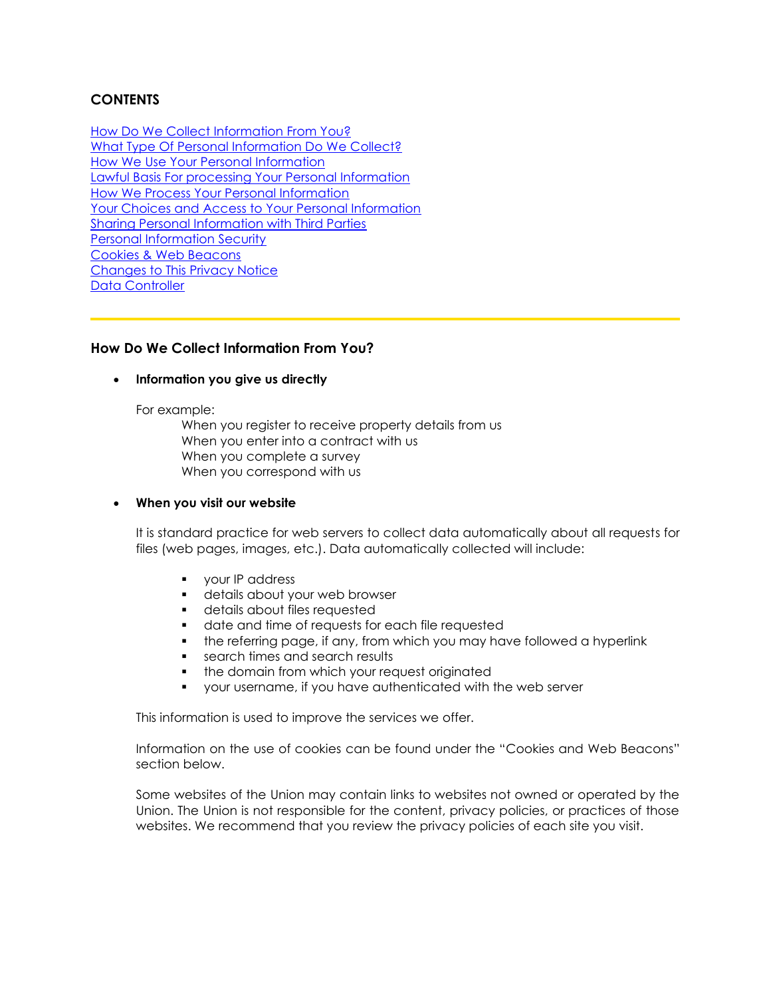# **CONTENTS**

How Do We Collect Information From You? What Type Of Personal Information Do We Collect? How We Use Your Personal Information Lawful Basis For processing Your Personal Information How We Process Your Personal Information Your Choices and Access to Your Personal Information Sharing Personal Information with Third Parties Personal Information Security Cookies & Web Beacons Changes to This Privacy Notice Data Controller

### **How Do We Collect Information From You?**

#### • **Information you give us directly**

For example:

When you register to receive property details from us When you enter into a contract with us When you complete a survey When you correspond with us

#### • **When you visit our website**

It is standard practice for web servers to collect data automatically about all requests for files (web pages, images, etc.). Data automatically collected will include:

- **•** your IP address
- **•** details about your web browser
- details about files requested
- date and time of requests for each file requested
- **•** the referring page, if any, from which you may have followed a hyperlink
- search times and search results
- **•** the domain from which your request originated
- your username, if you have authenticated with the web server

This information is used to improve the services we offer.

Information on the use of cookies can be found under the "Cookies and Web Beacons" section below.

Some websites of the Union may contain links to websites not owned or operated by the Union. The Union is not responsible for the content, privacy policies, or practices of those websites. We recommend that you review the privacy policies of each site you visit.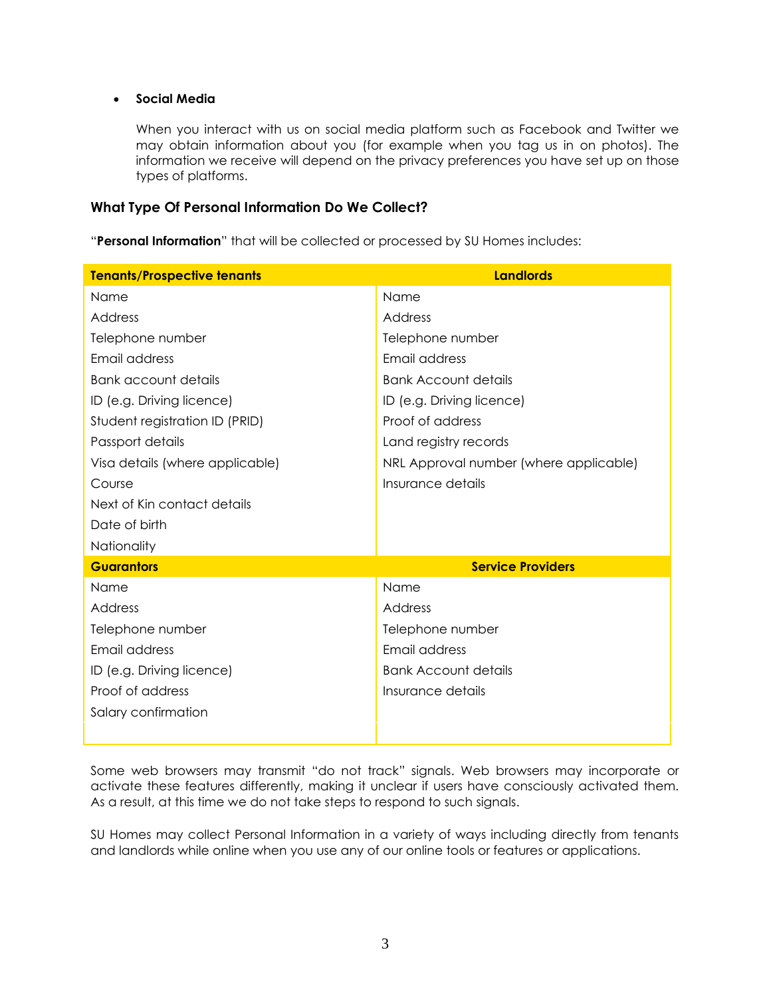### • **Social Media**

When you interact with us on social media platform such as Facebook and Twitter we may obtain information about you (for example when you tag us in on photos). The information we receive will depend on the privacy preferences you have set up on those types of platforms.

### **What Type Of Personal Information Do We Collect?**

"**Personal Information**" that will be collected or processed by SU Homes includes:

| <b>Tenants/Prospective tenants</b> | <b>Landlords</b>                       |
|------------------------------------|----------------------------------------|
| Name                               | Name                                   |
| Address                            | Address                                |
| Telephone number                   | Telephone number                       |
| Email address                      | Email address                          |
| <b>Bank account details</b>        | <b>Bank Account details</b>            |
| ID (e.g. Driving licence)          | ID (e.g. Driving licence)              |
| Student registration ID (PRID)     | Proof of address                       |
| Passport details                   | Land registry records                  |
| Visa details (where applicable)    | NRL Approval number (where applicable) |
| Course                             | Insurance details                      |
| Next of Kin contact details        |                                        |
| Date of birth                      |                                        |
| Nationality                        |                                        |
| <b>Guarantors</b>                  | <b>Service Providers</b>               |
| Name                               | Name                                   |
| Address                            | Address                                |
| Telephone number                   | Telephone number                       |
| Email address                      | Email address                          |
| ID (e.g. Driving licence)          | <b>Bank Account details</b>            |
| Proof of address                   | Insurance details                      |
| Salary confirmation                |                                        |
|                                    |                                        |

Some web browsers may transmit "do not track" signals. Web browsers may incorporate or activate these features differently, making it unclear if users have consciously activated them. As a result, at this time we do not take steps to respond to such signals.

SU Homes may collect Personal Information in a variety of ways including directly from tenants and landlords while online when you use any of our online tools or features or applications.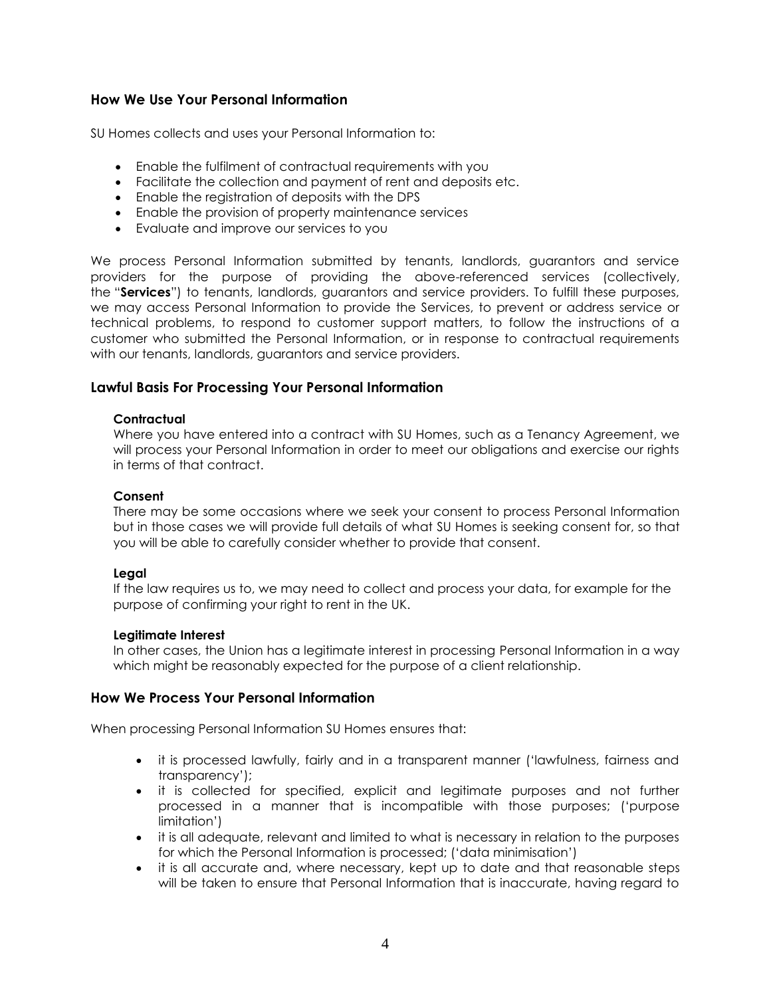## **How We Use Your Personal Information**

SU Homes collects and uses your Personal Information to:

- Enable the fulfilment of contractual requirements with you
- Facilitate the collection and payment of rent and deposits etc.
- Enable the registration of deposits with the DPS
- Enable the provision of property maintenance services
- Evaluate and improve our services to you

We process Personal Information submitted by tenants, landlords, guarantors and service providers for the purpose of providing the above-referenced services (collectively, the "**Services**") to tenants, landlords, guarantors and service providers. To fulfill these purposes, we may access Personal Information to provide the Services, to prevent or address service or technical problems, to respond to customer support matters, to follow the instructions of a customer who submitted the Personal Information, or in response to contractual requirements with our tenants, landlords, guarantors and service providers.

## **Lawful Basis For Processing Your Personal Information**

#### **Contractual**

Where you have entered into a contract with SU Homes, such as a Tenancy Agreement, we will process your Personal Information in order to meet our obligations and exercise our rights in terms of that contract.

#### **Consent**

There may be some occasions where we seek your consent to process Personal Information but in those cases we will provide full details of what SU Homes is seeking consent for, so that you will be able to carefully consider whether to provide that consent.

### **Legal**

If the law requires us to, we may need to collect and process your data, for example for the purpose of confirming your right to rent in the UK.

#### **Legitimate Interest**

In other cases, the Union has a legitimate interest in processing Personal Information in a way which might be reasonably expected for the purpose of a client relationship.

## **How We Process Your Personal Information**

When processing Personal Information SU Homes ensures that:

- it is processed lawfully, fairly and in a transparent manner ('lawfulness, fairness and transparency');
- it is collected for specified, explicit and legitimate purposes and not further processed in a manner that is incompatible with those purposes; ('purpose limitation')
- it is all adequate, relevant and limited to what is necessary in relation to the purposes for which the Personal Information is processed; ('data minimisation')
- it is all accurate and, where necessary, kept up to date and that reasonable steps will be taken to ensure that Personal Information that is inaccurate, having regard to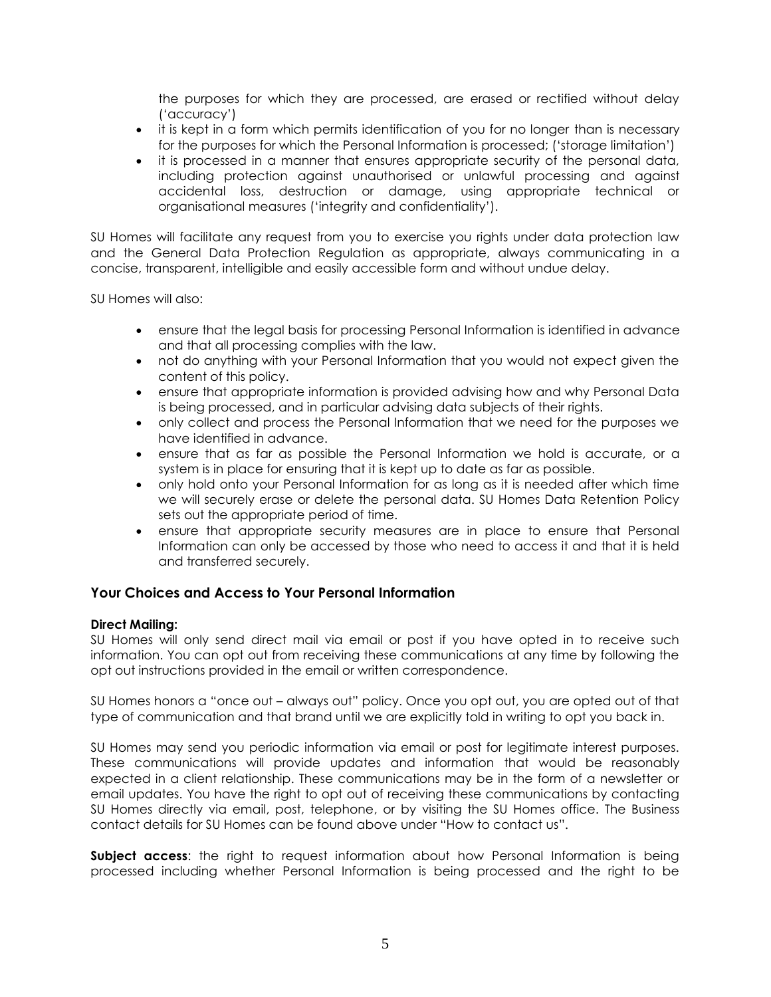the purposes for which they are processed, are erased or rectified without delay ('accuracy')

- it is kept in a form which permits identification of you for no longer than is necessary for the purposes for which the Personal Information is processed; ('storage limitation')
- it is processed in a manner that ensures appropriate security of the personal data, including protection against unauthorised or unlawful processing and against accidental loss, destruction or damage, using appropriate technical or organisational measures ('integrity and confidentiality').

SU Homes will facilitate any request from you to exercise you rights under data protection law and the General Data Protection Regulation as appropriate, always communicating in a concise, transparent, intelligible and easily accessible form and without undue delay.

SU Homes will also:

- ensure that the legal basis for processing Personal Information is identified in advance and that all processing complies with the law.
- not do anything with your Personal Information that you would not expect given the content of this policy.
- ensure that appropriate information is provided advising how and why Personal Data is being processed, and in particular advising data subjects of their rights.
- only collect and process the Personal Information that we need for the purposes we have identified in advance.
- ensure that as far as possible the Personal Information we hold is accurate, or a system is in place for ensuring that it is kept up to date as far as possible.
- only hold onto your Personal Information for as long as it is needed after which time we will securely erase or delete the personal data. SU Homes Data Retention Policy sets out the appropriate period of time.
- ensure that appropriate security measures are in place to ensure that Personal Information can only be accessed by those who need to access it and that it is held and transferred securely.

## **Your Choices and Access to Your Personal Information**

### **Direct Mailing:**

SU Homes will only send direct mail via email or post if you have opted in to receive such information. You can opt out from receiving these communications at any time by following the opt out instructions provided in the email or written correspondence.

SU Homes honors a "once out – always out" policy. Once you opt out, you are opted out of that type of communication and that brand until we are explicitly told in writing to opt you back in.

SU Homes may send you periodic information via email or post for legitimate interest purposes. These communications will provide updates and information that would be reasonably expected in a client relationship. These communications may be in the form of a newsletter or email updates. You have the right to opt out of receiving these communications by contacting SU Homes directly via email, post, telephone, or by visiting the SU Homes office. The Business contact details for SU Homes can be found above under "How to contact us".

**Subject access:** the right to request information about how Personal Information is being processed including whether Personal Information is being processed and the right to be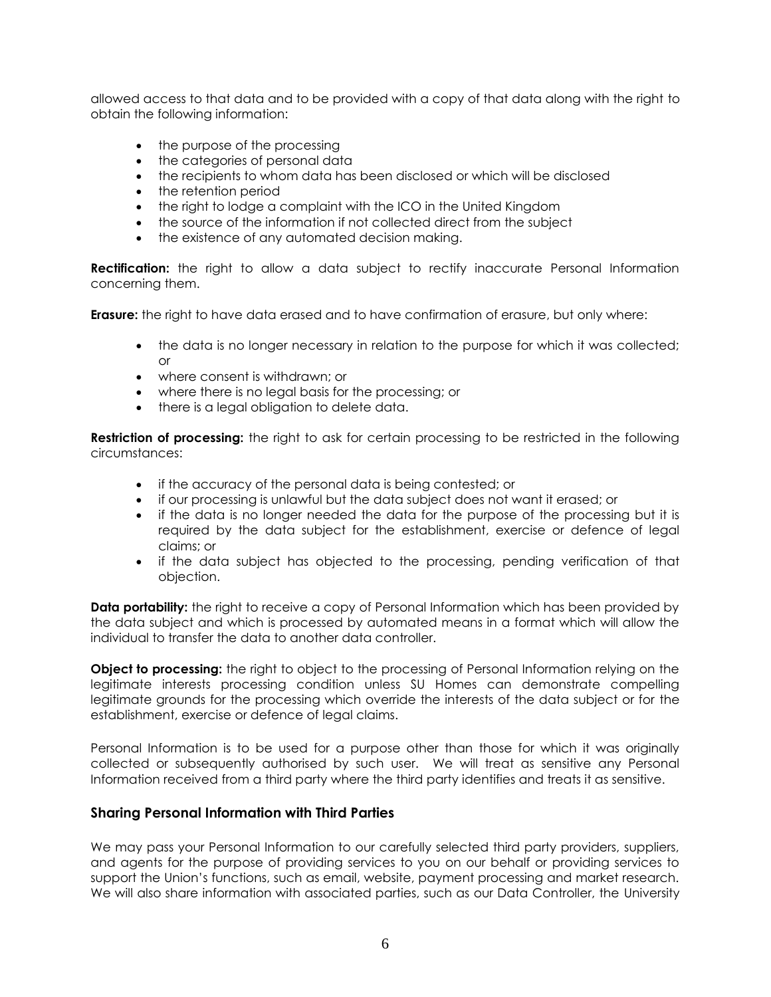allowed access to that data and to be provided with a copy of that data along with the right to obtain the following information:

- the purpose of the processing
- the categories of personal data
- the recipients to whom data has been disclosed or which will be disclosed
- the retention period
- the right to lodge a complaint with the ICO in the United Kingdom
- the source of the information if not collected direct from the subject
- the existence of any automated decision making.

**Rectification:** the right to allow a data subject to rectify inaccurate Personal Information concerning them.

**Erasure:** the right to have data erased and to have confirmation of erasure, but only where:

- the data is no longer necessary in relation to the purpose for which it was collected; or
- where consent is withdrawn; or
- where there is no legal basis for the processing; or
- there is a legal obligation to delete data.

**Restriction of processing:** the right to ask for certain processing to be restricted in the following circumstances:

- if the accuracy of the personal data is being contested; or
- if our processing is unlawful but the data subject does not want it erased; or
- if the data is no longer needed the data for the purpose of the processing but it is required by the data subject for the establishment, exercise or defence of legal claims; or
- if the data subject has objected to the processing, pending verification of that objection.

**Data portability:** the right to receive a copy of Personal Information which has been provided by the data subject and which is processed by automated means in a format which will allow the individual to transfer the data to another data controller.

**Object to processing:** the right to object to the processing of Personal Information relying on the legitimate interests processing condition unless SU Homes can demonstrate compelling legitimate grounds for the processing which override the interests of the data subject or for the establishment, exercise or defence of legal claims.

Personal Information is to be used for a purpose other than those for which it was originally collected or subsequently authorised by such user. We will treat as sensitive any Personal Information received from a third party where the third party identifies and treats it as sensitive.

## **Sharing Personal Information with Third Parties**

We may pass your Personal Information to our carefully selected third party providers, suppliers, and agents for the purpose of providing services to you on our behalf or providing services to support the Union's functions, such as email, website, payment processing and market research. We will also share information with associated parties, such as our Data Controller, the University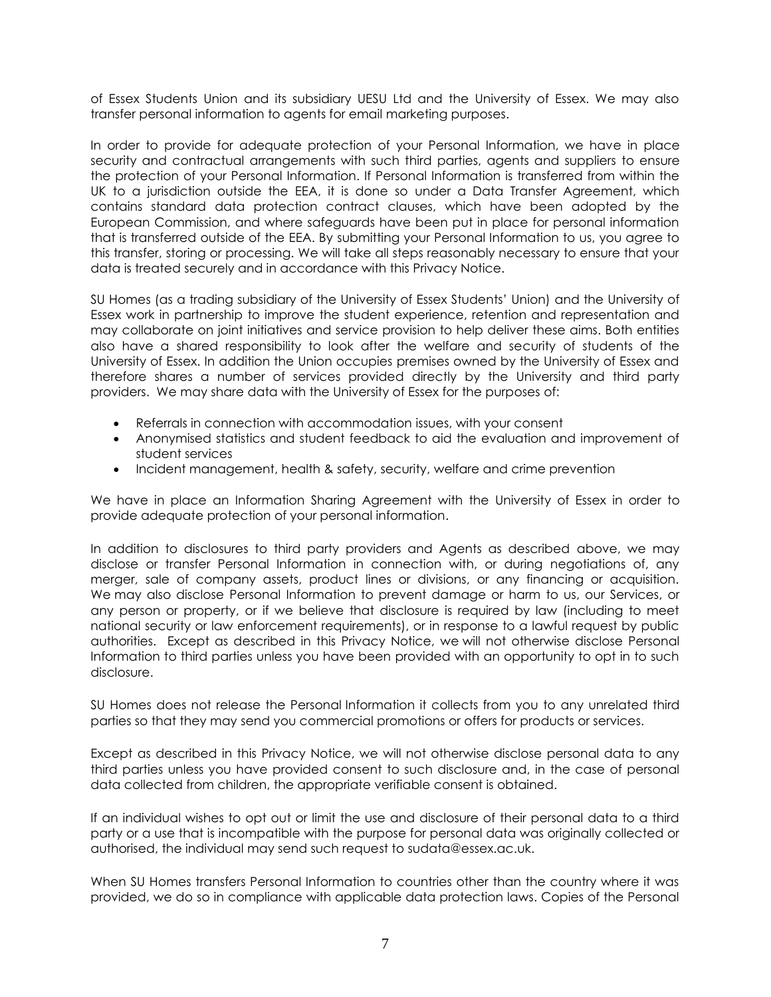of Essex Students Union and its subsidiary UESU Ltd and the University of Essex. We may also transfer personal information to agents for email marketing purposes.

In order to provide for adequate protection of your Personal Information, we have in place security and contractual arrangements with such third parties, agents and suppliers to ensure the protection of your Personal Information. If Personal Information is transferred from within the UK to a jurisdiction outside the EEA, it is done so under a Data Transfer Agreement, which contains standard data protection contract clauses, which have been adopted by the European Commission, and where safeguards have been put in place for personal information that is transferred outside of the EEA. By submitting your Personal Information to us, you agree to this transfer, storing or processing. We will take all steps reasonably necessary to ensure that your data is treated securely and in accordance with this Privacy Notice.

SU Homes (as a trading subsidiary of the University of Essex Students' Union) and the University of Essex work in partnership to improve the student experience, retention and representation and may collaborate on joint initiatives and service provision to help deliver these aims. Both entities also have a shared responsibility to look after the welfare and security of students of the University of Essex. In addition the Union occupies premises owned by the University of Essex and therefore shares a number of services provided directly by the University and third party providers. We may share data with the University of Essex for the purposes of:

- Referrals in connection with accommodation issues, with your consent
- Anonymised statistics and student feedback to aid the evaluation and improvement of student services
- Incident management, health & safety, security, welfare and crime prevention

We have in place an Information Sharing Agreement with the University of Essex in order to provide adequate protection of your personal information.

In addition to disclosures to third party providers and Agents as described above, we may disclose or transfer Personal Information in connection with, or during negotiations of, any merger, sale of company assets, product lines or divisions, or any financing or acquisition. We may also disclose Personal Information to prevent damage or harm to us, our Services, or any person or property, or if we believe that disclosure is required by law (including to meet national security or law enforcement requirements), or in response to a lawful request by public authorities. Except as described in this Privacy Notice, we will not otherwise disclose Personal Information to third parties unless you have been provided with an opportunity to opt in to such disclosure.

SU Homes does not release the Personal Information it collects from you to any unrelated third parties so that they may send you commercial promotions or offers for products or services.

Except as described in this Privacy Notice, we will not otherwise disclose personal data to any third parties unless you have provided consent to such disclosure and, in the case of personal data collected from children, the appropriate verifiable consent is obtained.

If an individual wishes to opt out or limit the use and disclosure of their personal data to a third party or a use that is incompatible with the purpose for personal data was originally collected or authorised, the individual may send such request to sudata@essex.ac.uk.

When SU Homes transfers Personal Information to countries other than the country where it was provided, we do so in compliance with applicable data protection laws. Copies of the Personal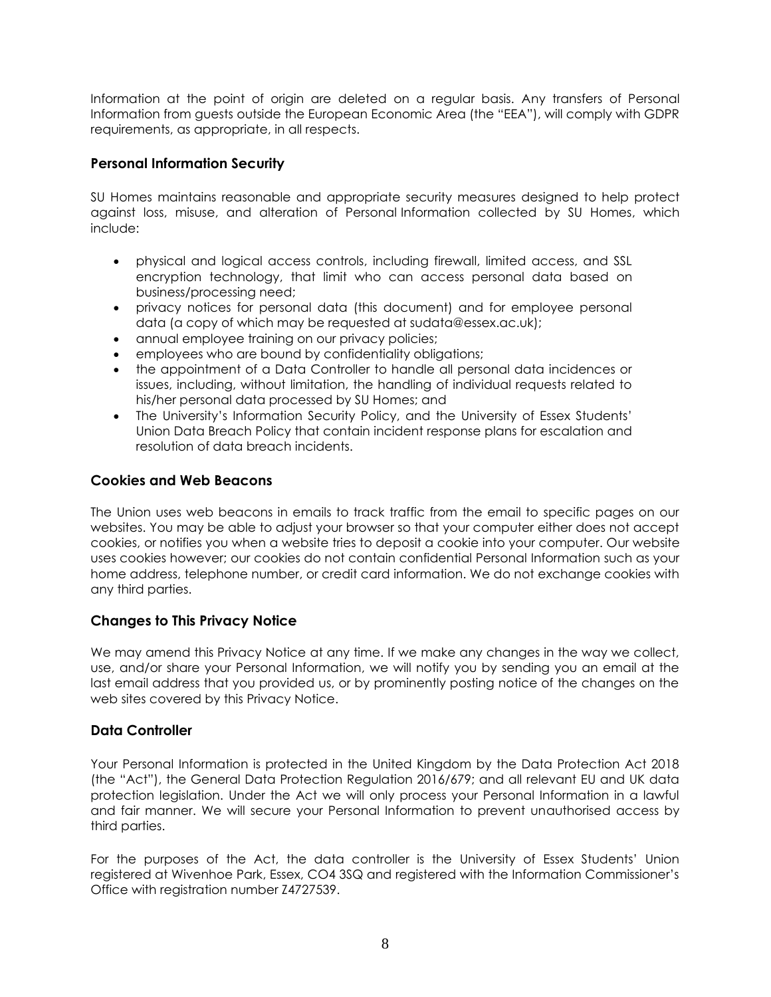Information at the point of origin are deleted on a regular basis. Any transfers of Personal Information from guests outside the European Economic Area (the "EEA"), will comply with GDPR requirements, as appropriate, in all respects.

# **Personal Information Security**

SU Homes maintains reasonable and appropriate security measures designed to help protect against loss, misuse, and alteration of Personal Information collected by SU Homes, which include:

- physical and logical access controls, including firewall, limited access, and SSL encryption technology, that limit who can access personal data based on business/processing need;
- privacy notices for personal data (this document) and for employee personal data (a copy of which may be requested at sudata@essex.ac.uk);
- annual employee training on our privacy policies;
- employees who are bound by confidentiality obligations;
- the appointment of a Data Controller to handle all personal data incidences or issues, including, without limitation, the handling of individual requests related to his/her personal data processed by SU Homes; and
- The University's Information Security Policy, and the University of Essex Students' Union Data Breach Policy that contain incident response plans for escalation and resolution of data breach incidents.

# **Cookies and Web Beacons**

The Union uses web beacons in emails to track traffic from the email to specific pages on our websites. You may be able to adjust your browser so that your computer either does not accept cookies, or notifies you when a website tries to deposit a cookie into your computer. Our website uses cookies however; our cookies do not contain confidential Personal Information such as your home address, telephone number, or credit card information. We do not exchange cookies with any third parties.

## **Changes to This Privacy Notice**

We may amend this Privacy Notice at any time. If we make any changes in the way we collect, use, and/or share your Personal Information, we will notify you by sending you an email at the last email address that you provided us, or by prominently posting notice of the changes on the web sites covered by this Privacy Notice.

## **Data Controller**

Your Personal Information is protected in the United Kingdom by the Data Protection Act 2018 (the "Act"), the General Data Protection Regulation 2016/679; and all relevant EU and UK data protection legislation. Under the Act we will only process your Personal Information in a lawful and fair manner. We will secure your Personal Information to prevent unauthorised access by third parties.

For the purposes of the Act, the data controller is the University of Essex Students' Union registered at Wivenhoe Park, Essex, CO4 3SQ and registered with the Information Commissioner's Office with registration number Z4727539.